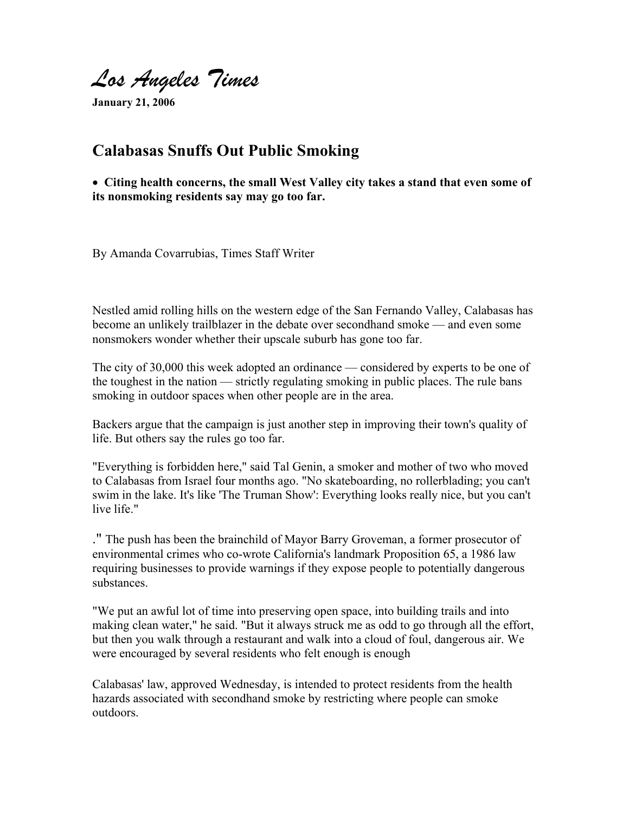Los Angeles Times

**January 21, 2006**

## **Calabasas Snuffs Out Public Smoking**

• **Citing health concerns, the small West Valley city takes a stand that even some of its nonsmoking residents say may go too far.**

By Amanda Covarrubias, Times Staff Writer

Nestled amid rolling hills on the western edge of the San Fernando Valley, Calabasas has become an unlikely trailblazer in the debate over secondhand smoke — and even some nonsmokers wonder whether their upscale suburb has gone too far.

The city of 30,000 this week adopted an ordinance — considered by experts to be one of the toughest in the nation — strictly regulating smoking in public places. The rule bans smoking in outdoor spaces when other people are in the area.

Backers argue that the campaign is just another step in improving their town's quality of life. But others say the rules go too far.

"Everything is forbidden here," said Tal Genin, a smoker and mother of two who moved to Calabasas from Israel four months ago. "No skateboarding, no rollerblading; you can't swim in the lake. It's like 'The Truman Show': Everything looks really nice, but you can't live life."

." The push has been the brainchild of Mayor Barry Groveman, a former prosecutor of environmental crimes who co-wrote California's landmark Proposition 65, a 1986 law requiring businesses to provide warnings if they expose people to potentially dangerous substances.

"We put an awful lot of time into preserving open space, into building trails and into making clean water," he said. "But it always struck me as odd to go through all the effort, but then you walk through a restaurant and walk into a cloud of foul, dangerous air. We were encouraged by several residents who felt enough is enough

Calabasas' law, approved Wednesday, is intended to protect residents from the health hazards associated with secondhand smoke by restricting where people can smoke outdoors.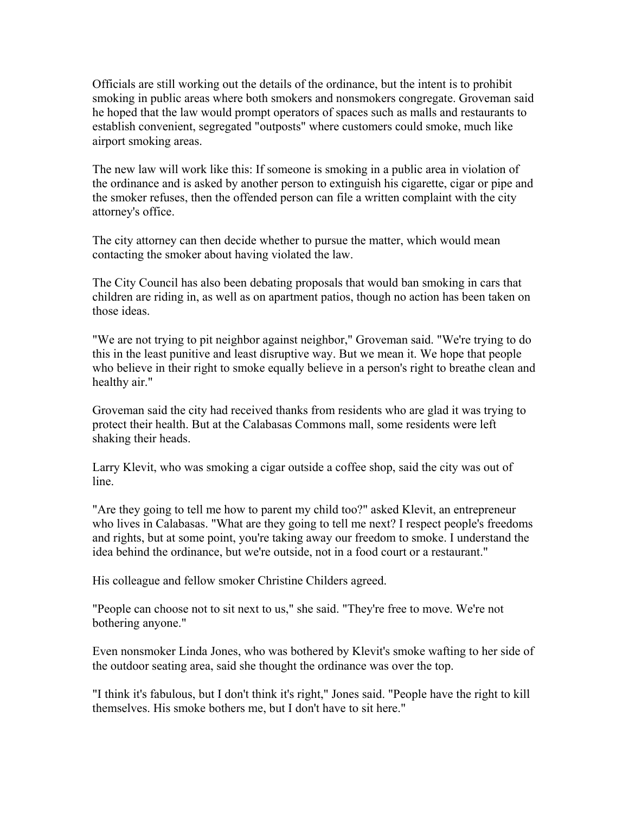Officials are still working out the details of the ordinance, but the intent is to prohibit smoking in public areas where both smokers and nonsmokers congregate. Groveman said he hoped that the law would prompt operators of spaces such as malls and restaurants to establish convenient, segregated "outposts" where customers could smoke, much like airport smoking areas.

The new law will work like this: If someone is smoking in a public area in violation of the ordinance and is asked by another person to extinguish his cigarette, cigar or pipe and the smoker refuses, then the offended person can file a written complaint with the city attorney's office.

The city attorney can then decide whether to pursue the matter, which would mean contacting the smoker about having violated the law.

The City Council has also been debating proposals that would ban smoking in cars that children are riding in, as well as on apartment patios, though no action has been taken on those ideas.

"We are not trying to pit neighbor against neighbor," Groveman said. "We're trying to do this in the least punitive and least disruptive way. But we mean it. We hope that people who believe in their right to smoke equally believe in a person's right to breathe clean and healthy air."

Groveman said the city had received thanks from residents who are glad it was trying to protect their health. But at the Calabasas Commons mall, some residents were left shaking their heads.

Larry Klevit, who was smoking a cigar outside a coffee shop, said the city was out of line.

"Are they going to tell me how to parent my child too?" asked Klevit, an entrepreneur who lives in Calabasas. "What are they going to tell me next? I respect people's freedoms and rights, but at some point, you're taking away our freedom to smoke. I understand the idea behind the ordinance, but we're outside, not in a food court or a restaurant."

His colleague and fellow smoker Christine Childers agreed.

"People can choose not to sit next to us," she said. "They're free to move. We're not bothering anyone."

Even nonsmoker Linda Jones, who was bothered by Klevit's smoke wafting to her side of the outdoor seating area, said she thought the ordinance was over the top.

"I think it's fabulous, but I don't think it's right," Jones said. "People have the right to kill themselves. His smoke bothers me, but I don't have to sit here."